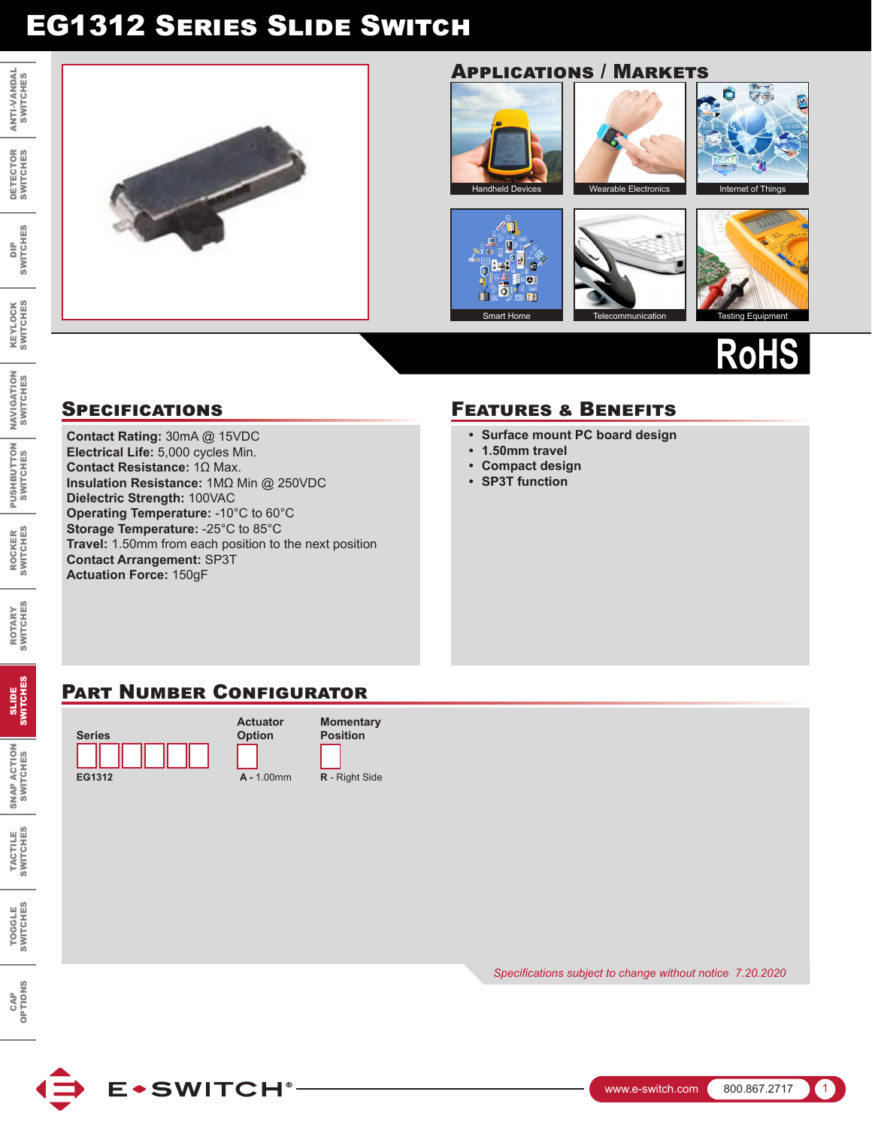# EG1312 Series Slide Switch

DIP<br>SWITCHES SWITCHES

> KEYLOCK SWITCHES

**KEYLOCK**<br>SWITCHES

NAVIGATION SWITCHES

ROCKER SWITCHES

ROCKER<br>SWITCHES

PUSHBUTTON SWITCHES

PUSHBUTTON NAVIGATION<br>SWITCHES SWITCHES

ROTARY SWITCHES

ROTARY<br>SWITCHES

SWITCHES SWITCHES

> SNAP ACTION SWITCHES

SNAP ACTION<br>SWITCHES

TACTILE SWITCHES

TACTILE<br>SWITCHES



# Applications / Markets



 $\mathbb{Z}$  $\mathbf{H}$ 回  $\hat{\mathbf{r}}$ **PE 201**  $\overline{5}$ 画

面









**RoHS**

**Contact Rating:** 30mA @ 15VDC **Electrical Life:** 5,000 cycles Min. **Contact Resistance:** 1Ω Max. **Insulation Resistance:** 1MΩ Min @ 250VDC **Dielectric Strength:** 100VAC **Operating Temperature:** -10°C to 60°C **Storage Temperature:** -25°C to 85°C **Travel:** 1.50mm from each position to the next position **Contact Arrangement:** SP3T **Actuation Force:** 150gF

### SPECIFICATIONS **FEATURES & BENEFITS**

- **• Surface mount PC board design**
- **• 1.50mm travel**
- **• Compact design**
- **• SP3T function**

## PART NUMBER CONFIGURATOR

**Actuator Option**







*Specifications subject to change without notice Specifications subject to change without notice 7.20.2020*